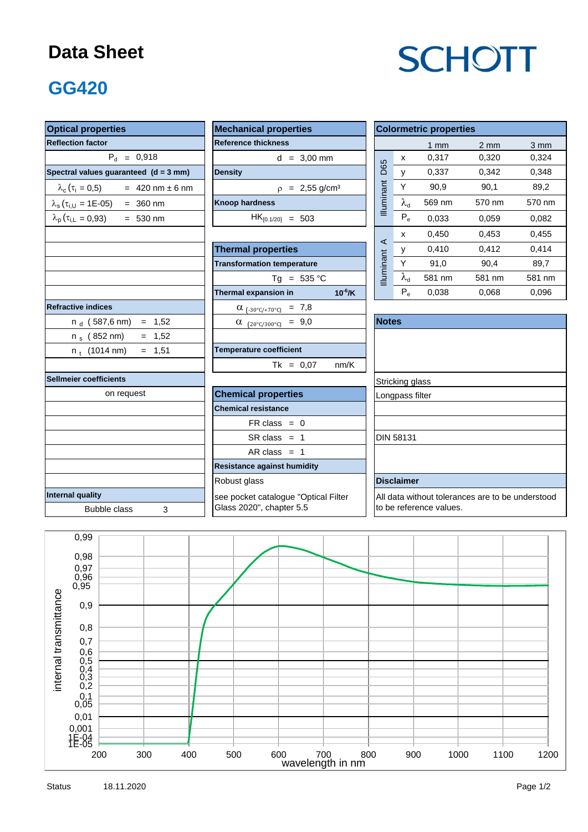#### **Data Sheet**

# **SCHOTT**

### **GG420**

| <b>Optical properties</b>                        | <b>Colormetric properties</b>           |                                                  |                   |        |                  |                  |  |
|--------------------------------------------------|-----------------------------------------|--------------------------------------------------|-------------------|--------|------------------|------------------|--|
| <b>Reflection factor</b>                         | <b>Reference thickness</b>              |                                                  |                   | $1$ mm | $2 \, \text{mm}$ | $3 \, \text{mm}$ |  |
| $P_{d} = 0.918$                                  | $d = 3,00$ mm                           |                                                  | $\pmb{\chi}$      | 0.317  | 0.320            | 0.324            |  |
| Spectral values guaranteed (d = 3 mm)            | <b>Density</b>                          | D65                                              | y                 | 0,337  | 0,342            | 0,348            |  |
| $\lambda_c (\tau_i = 0.5)$ = 420 nm ± 6 nm       | $p = 2,55$ g/cm <sup>3</sup>            |                                                  | Y                 | 90,9   | 90,1             | 89,2             |  |
| $\lambda_s(\tau_{i,U} = 1E{\text -}05)$ = 360 nm | <b>Knoop hardness</b>                   | Illuminant                                       | $\lambda_{\rm d}$ | 569 nm | 570 nm           | 570 nm           |  |
| $\lambda_p(\tau_{i,L} = 0.93)$ = 530 nm          | $HK_{[0.1/20]} = 503$                   |                                                  | $P_e$             | 0,033  | 0,059            | 0,082            |  |
|                                                  |                                         | $\prec$                                          | X                 | 0,450  | 0,453            | 0,455            |  |
|                                                  | <b>Thermal properties</b>               |                                                  | у                 | 0,410  | 0,412            | 0,414            |  |
|                                                  | <b>Transformation temperature</b>       | Illuminant                                       | Y                 | 91,0   | 90.4             | 89.7             |  |
|                                                  | $Tg = 535 °C$                           |                                                  | $\lambda_{\rm d}$ | 581 nm | 581 nm           | 581 nm           |  |
|                                                  | Thermal expansion in<br>$10^{-6}$ /K    |                                                  | $P_e$             | 0,038  | 0,068            | 0,096            |  |
| <b>Refractive indices</b>                        | $\alpha$ <sub>(-30°C/+70°C)</sub> = 7,8 |                                                  |                   |        |                  |                  |  |
| $n_d$ (587,6 nm) = 1,52                          | $\alpha$ (20°C/300°C) = 9,0             | <b>Notes</b>                                     |                   |        |                  |                  |  |
| n <sub>s</sub> (852 nm)<br>$= 1,52$              |                                         |                                                  |                   |        |                  |                  |  |
| $= 1,51$<br>$n_t$ (1014 nm)                      | <b>Temperature coefficient</b>          |                                                  |                   |        |                  |                  |  |
|                                                  | $Tk = 0,07$<br>nm/K                     |                                                  |                   |        |                  |                  |  |
| Sellmeier coefficients                           |                                         |                                                  | Stricking glass   |        |                  |                  |  |
| on request                                       | <b>Chemical properties</b>              | Longpass filter                                  |                   |        |                  |                  |  |
|                                                  | <b>Chemical resistance</b>              |                                                  |                   |        |                  |                  |  |
|                                                  | $FR \text{ class } = 0$                 |                                                  |                   |        |                  |                  |  |
|                                                  | $SR class = 1$                          |                                                  | <b>DIN 58131</b>  |        |                  |                  |  |
|                                                  | AR class $= 1$                          |                                                  |                   |        |                  |                  |  |
|                                                  | <b>Resistance against humidity</b>      |                                                  |                   |        |                  |                  |  |
|                                                  | <b>Disclaimer</b>                       |                                                  |                   |        |                  |                  |  |
| Internal quality                                 | see pocket catalogue "Optical Filter    | All data without tolerances are to be understood |                   |        |                  |                  |  |
| <b>Bubble class</b><br>3                         | Glass 2020", chapter 5.5                | to be reference values.                          |                   |        |                  |                  |  |